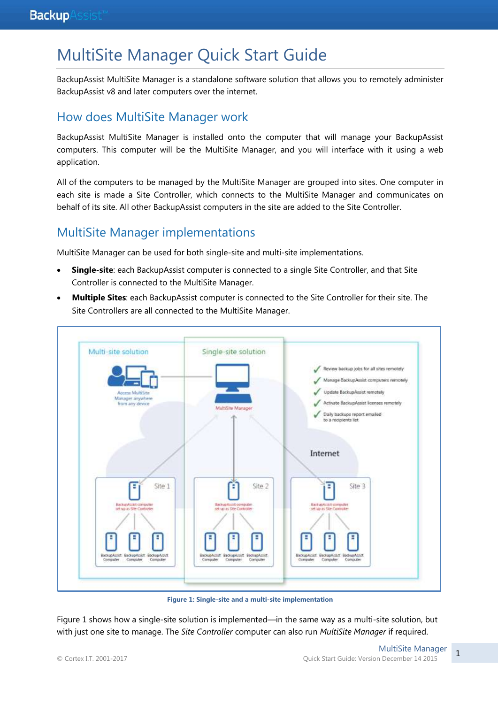# MultiSite Manager Quick Start Guide

BackupAssist MultiSite Manager is a standalone software solution that allows you to remotely administer BackupAssist v8 and later computers over the internet.

## How does MultiSite Manager work

BackupAssist MultiSite Manager is installed onto the computer that will manage your BackupAssist computers. This computer will be the MultiSite Manager, and you will interface with it using a web application.

All of the computers to be managed by the MultiSite Manager are grouped into sites. One computer in each site is made a Site Controller, which connects to the MultiSite Manager and communicates on behalf of its site. All other BackupAssist computers in the site are added to the Site Controller.

## MultiSite Manager implementations

MultiSite Manager can be used for both single-site and multi-site implementations.

- **Single-site**: each BackupAssist computer is connected to a single Site Controller, and that Site Controller is connected to the MultiSite Manager.
- **Multiple Sites**: each BackupAssist computer is connected to the Site Controller for their site. The Site Controllers are all connected to the MultiSite Manager.



**Figure 1: Single-site and a multi-site implementation**

Figure 1 shows how a single-site solution is implemented—in the same way as a multi-site solution, but with just one site to manage. The *Site Controller* computer can also run *MultiSite Manager* if required.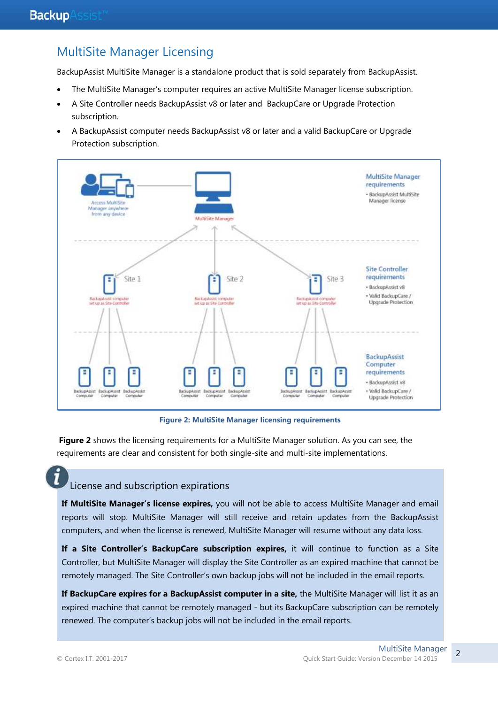# MultiSite Manager Licensing

BackupAssist MultiSite Manager is a standalone product that is sold separately from BackupAssist.

- The MultiSite Manager's computer requires an active MultiSite Manager license subscription.
- A Site Controller needs BackupAssist v8 or later and BackupCare or Upgrade Protection subscription.
- A BackupAssist computer needs BackupAssist v8 or later and a valid BackupCare or Upgrade Protection subscription.



**Figure 2: MultiSite Manager licensing requirements**

**Figure 2** shows the licensing requirements for a MultiSite Manager solution. As you can see, the requirements are clear and consistent for both single-site and multi-site implementations.

## License and subscription expirations

**If MultiSite Manager's license expires,** you will not be able to access MultiSite Manager and email reports will stop. MultiSite Manager will still receive and retain updates from the BackupAssist computers, and when the license is renewed, MultiSite Manager will resume without any data loss.

**If a Site Controller's BackupCare subscription expires,** it will continue to function as a Site Controller, but MultiSite Manager will display the Site Controller as an expired machine that cannot be remotely managed. The Site Controller's own backup jobs will not be included in the email reports.

**If BackupCare expires for a BackupAssist computer in a site,** the MultiSite Manager will list it as an expired machine that cannot be remotely managed - but its BackupCare subscription can be remotely renewed. The computer's backup jobs will not be included in the email reports.